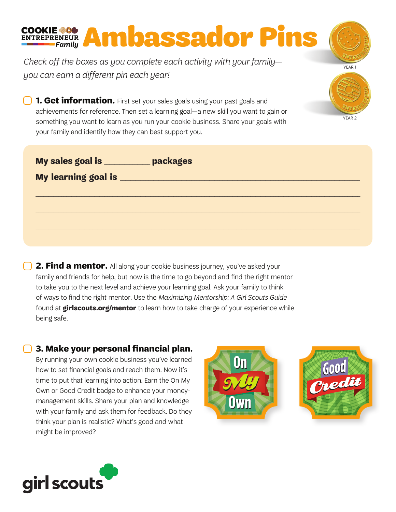*Check off the boxes as you complete each activity with your family you can earn a different pin each year!* 

COOKIE **400 Ambassador Pins** 

**1. Get information.** First set your sales goals using your past goals and achievements for reference. Then set a learning goal—a new skill you want to gain or something you want to learn as you run your cookie business. Share your goals with your family and identify how they can best support you.

| My sales goal is __________ | packages |
|-----------------------------|----------|
|                             |          |
|                             |          |
|                             |          |
|                             |          |
|                             |          |

**2. Find a mentor.** All along your cookie business journey, you've asked your family and friends for help, but now is the time to go beyond and find the right mentor to take you to the next level and achieve your learning goal. Ask your family to think of ways to find the right mentor. Use the *Maximizing Mentorship: A Girl Scouts Guide* found at **girlscouts.org/mentor** to learn how to take charge of your experience while being safe.

 **3. Make your personal financial plan.** By running your own cookie business you've learned how to set financial goals and reach them. Now it's

time to put that learning into action. Earn the On My Own or Good Credit badge to enhance your moneymanagement skills. Share your plan and knowledge with your family and ask them for feedback. Do they think your plan is realistic? What's good and what might be improved?





YEAR 1

YEAR 2